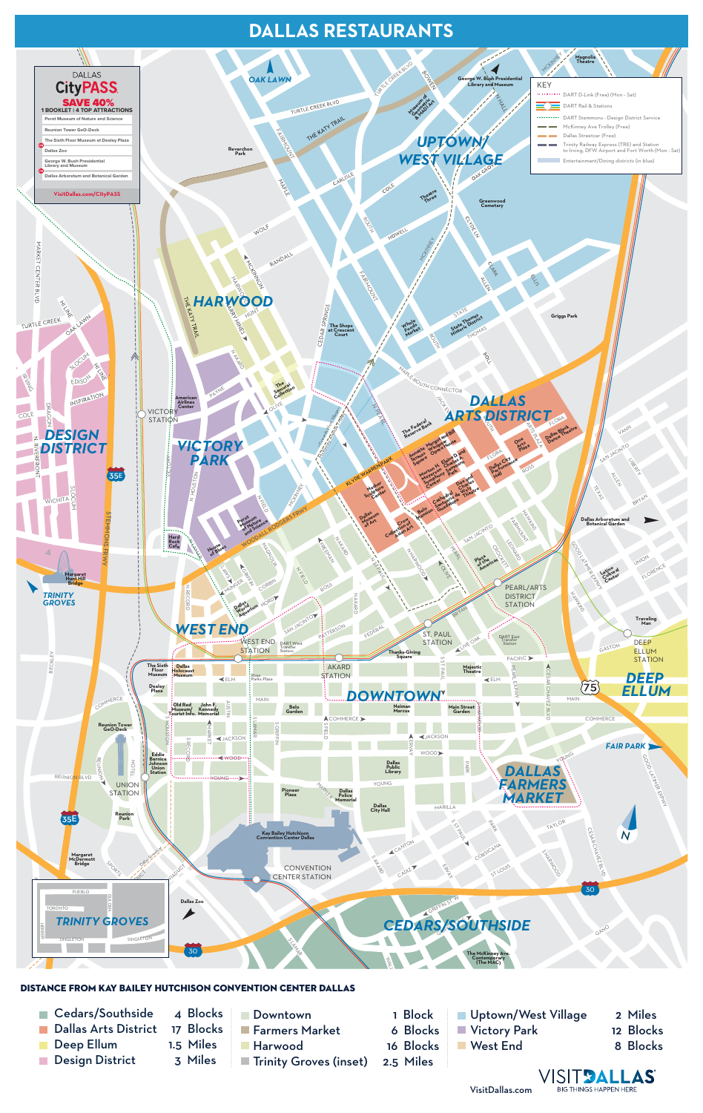

## **DISTANCE FROM KAY BAILEY HUTCHISON CONVENTION CENTER DALLAS**

# **DALLAS RESTAURANTS**

- Cedars/Southside  $\overline{\mathbb{R}^n}$
- Dallas Arts District  $\mathcal{L}^{\text{max}}$
- Deep Ellum  $\mathbb{R}^3$
- Design District  $\mathcal{L}_{\mathcal{A}}$
- 4 Blocks 17 Blocks 1.5 Miles 3 Miles
- ■Downtown **Farmers Market Harwood Trinity Groves (inset)**
- 1 Block 6 Blocks 16 Blocks 2.5 Miles
- **Uptown/West Village Victory Park** West End
- 2 Miles 12 Blocks 8 Blocks



VisitDallas.com